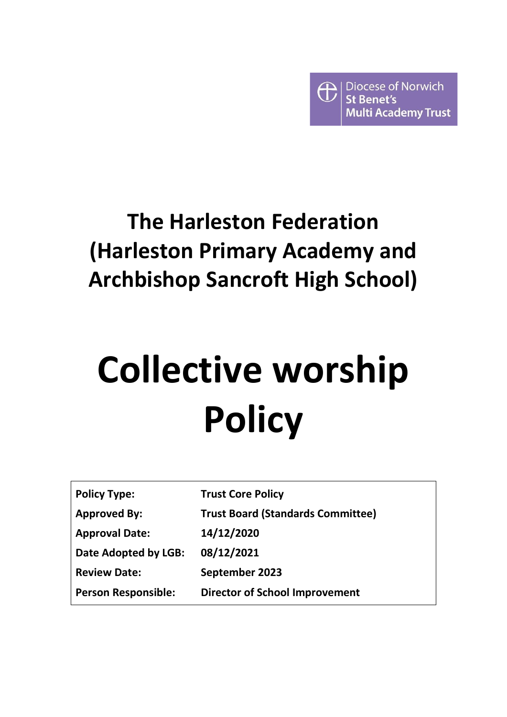

# **The Harleston Federation (Harleston Primary Academy and Archbishop Sancroft High School)**

# **Collective worship Policy**

| <b>Policy Type:</b>        | <b>Trust Core Policy</b>                 |
|----------------------------|------------------------------------------|
| <b>Approved By:</b>        | <b>Trust Board (Standards Committee)</b> |
| <b>Approval Date:</b>      | 14/12/2020                               |
| Date Adopted by LGB:       | 08/12/2021                               |
| <b>Review Date:</b>        | September 2023                           |
| <b>Person Responsible:</b> | <b>Director of School Improvement</b>    |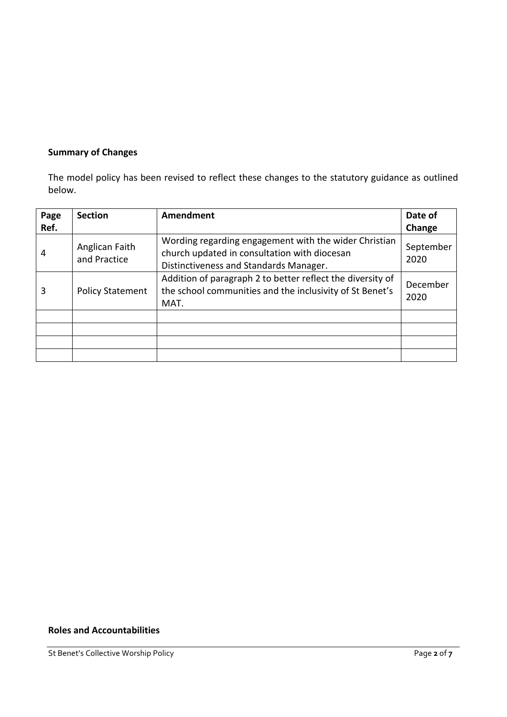# **Summary of Changes**

The model policy has been revised to reflect these changes to the statutory guidance as outlined below.

| Page<br>Ref. | <b>Section</b>                 | Amendment                                                                                                                                       | Date of<br>Change |
|--------------|--------------------------------|-------------------------------------------------------------------------------------------------------------------------------------------------|-------------------|
| 4            | Anglican Faith<br>and Practice | Wording regarding engagement with the wider Christian<br>church updated in consultation with diocesan<br>Distinctiveness and Standards Manager. | September<br>2020 |
| 3            | <b>Policy Statement</b>        | Addition of paragraph 2 to better reflect the diversity of<br>the school communities and the inclusivity of St Benet's<br>MAT.                  | December<br>2020  |
|              |                                |                                                                                                                                                 |                   |
|              |                                |                                                                                                                                                 |                   |
|              |                                |                                                                                                                                                 |                   |
|              |                                |                                                                                                                                                 |                   |

# **Roles and Accountabilities**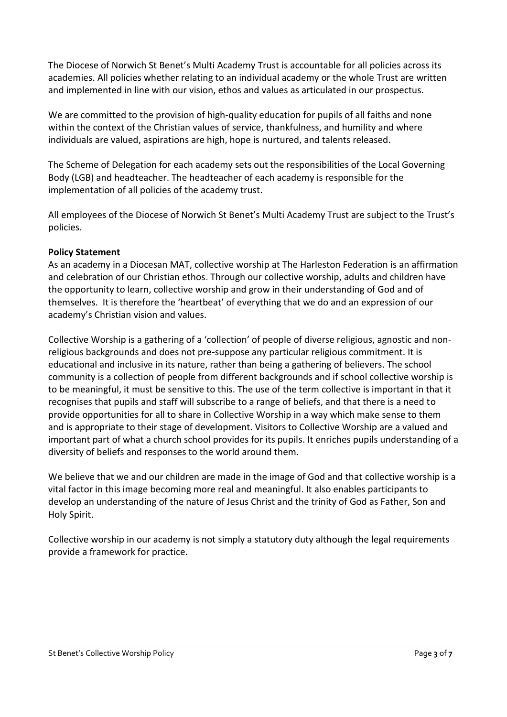The Diocese of Norwich St Benet's Multi Academy Trust is accountable for all policies across its academies. All policies whether relating to an individual academy or the whole Trust are written and implemented in line with our vision, ethos and values as articulated in our prospectus.

We are committed to the provision of high-quality education for pupils of all faiths and none within the context of the Christian values of service, thankfulness, and humility and where individuals are valued, aspirations are high, hope is nurtured, and talents released.

The Scheme of Delegation for each academy sets out the responsibilities of the Local Governing Body (LGB) and headteacher. The headteacher of each academy is responsible for the implementation of all policies of the academy trust.

All employees of the Diocese of Norwich St Benet's Multi Academy Trust are subject to the Trust's policies.

# **Policy Statement**

As an academy in a Diocesan MAT, collective worship at The Harleston Federation is an affirmation and celebration of our Christian ethos. Through our collective worship, adults and children have the opportunity to learn, collective worship and grow in their understanding of God and of themselves. It is therefore the 'heartbeat' of everything that we do and an expression of our academy's Christian vision and values.

Collective Worship is a gathering of a 'collection' of people of diverse religious, agnostic and nonreligious backgrounds and does not pre-suppose any particular religious commitment. It is educational and inclusive in its nature, rather than being a gathering of believers. The school community is a collection of people from different backgrounds and if school collective worship is to be meaningful, it must be sensitive to this. The use of the term collective is important in that it recognises that pupils and staff will subscribe to a range of beliefs, and that there is a need to provide opportunities for all to share in Collective Worship in a way which make sense to them and is appropriate to their stage of development. Visitors to Collective Worship are a valued and important part of what a church school provides for its pupils. It enriches pupils understanding of a diversity of beliefs and responses to the world around them.

We believe that we and our children are made in the image of God and that collective worship is a vital factor in this image becoming more real and meaningful. It also enables participants to develop an understanding of the nature of Jesus Christ and the trinity of God as Father, Son and Holy Spirit.

Collective worship in our academy is not simply a statutory duty although the legal requirements provide a framework for practice.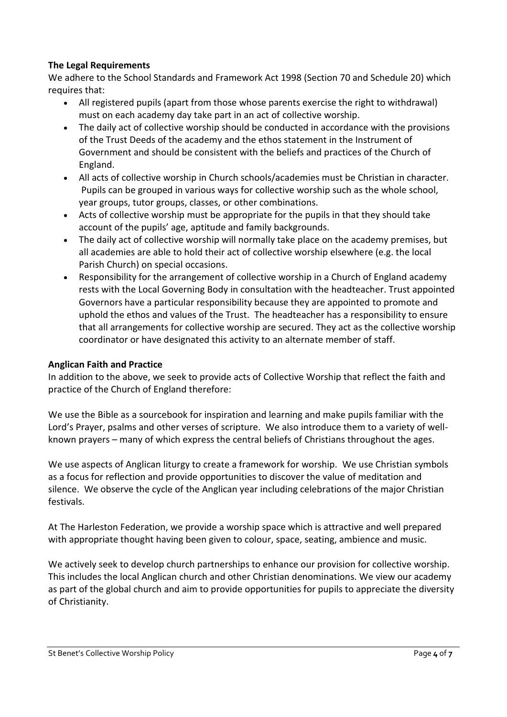# **The Legal Requirements**

We adhere to the School Standards and Framework Act 1998 (Section 70 and Schedule 20) which requires that:

- All registered pupils (apart from those whose parents exercise the right to withdrawal) must on each academy day take part in an act of collective worship.
- The daily act of collective worship should be conducted in accordance with the provisions of the Trust Deeds of the academy and the ethos statement in the Instrument of Government and should be consistent with the beliefs and practices of the Church of England.
- All acts of collective worship in Church schools/academies must be Christian in character. Pupils can be grouped in various ways for collective worship such as the whole school, year groups, tutor groups, classes, or other combinations.
- Acts of collective worship must be appropriate for the pupils in that they should take account of the pupils' age, aptitude and family backgrounds.
- The daily act of collective worship will normally take place on the academy premises, but all academies are able to hold their act of collective worship elsewhere (e.g. the local Parish Church) on special occasions.
- Responsibility for the arrangement of collective worship in a Church of England academy rests with the Local Governing Body in consultation with the headteacher. Trust appointed Governors have a particular responsibility because they are appointed to promote and uphold the ethos and values of the Trust. The headteacher has a responsibility to ensure that all arrangements for collective worship are secured. They act as the collective worship coordinator or have designated this activity to an alternate member of staff.

# **Anglican Faith and Practice**

In addition to the above, we seek to provide acts of Collective Worship that reflect the faith and practice of the Church of England therefore:

We use the Bible as a sourcebook for inspiration and learning and make pupils familiar with the Lord's Prayer, psalms and other verses of scripture. We also introduce them to a variety of wellknown prayers – many of which express the central beliefs of Christians throughout the ages.

We use aspects of Anglican liturgy to create a framework for worship. We use Christian symbols as a focus for reflection and provide opportunities to discover the value of meditation and silence. We observe the cycle of the Anglican year including celebrations of the major Christian festivals.

At The Harleston Federation, we provide a worship space which is attractive and well prepared with appropriate thought having been given to colour, space, seating, ambience and music.

We actively seek to develop church partnerships to enhance our provision for collective worship. This includes the local Anglican church and other Christian denominations. We view our academy as part of the global church and aim to provide opportunities for pupils to appreciate the diversity of Christianity.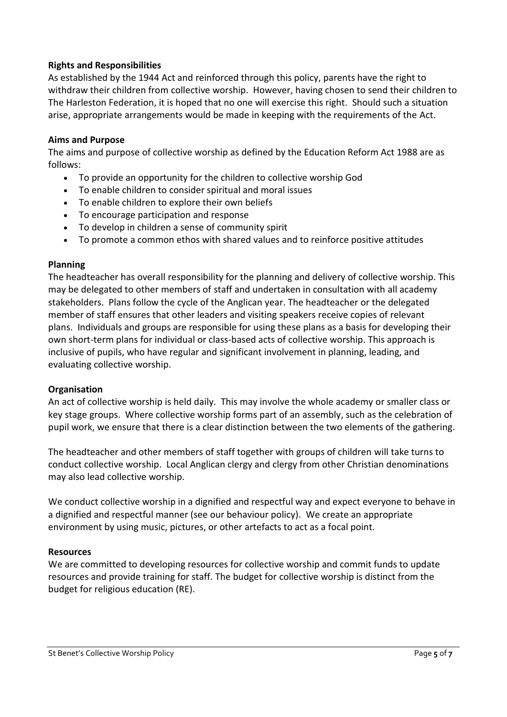### **Rights and Responsibilities**

As established by the 1944 Act and reinforced through this policy, parents have the right to withdraw their children from collective worship. However, having chosen to send their children to The Harleston Federation, it is hoped that no one will exercise this right. Should such a situation arise, appropriate arrangements would be made in keeping with the requirements of the Act.

#### **Aims and Purpose**

The aims and purpose of collective worship as defined by the Education Reform Act 1988 are as follows:

- To provide an opportunity for the children to collective worship God
- To enable children to consider spiritual and moral issues
- To enable children to explore their own beliefs
- To encourage participation and response
- To develop in children a sense of community spirit
- To promote a common ethos with shared values and to reinforce positive attitudes

#### **Planning**

The headteacher has overall responsibility for the planning and delivery of collective worship. This may be delegated to other members of staff and undertaken in consultation with all academy stakeholders. Plans follow the cycle of the Anglican year. The headteacher or the delegated member of staff ensures that other leaders and visiting speakers receive copies of relevant plans. Individuals and groups are responsible for using these plans as a basis for developing their own short-term plans for individual or class-based acts of collective worship. This approach is inclusive of pupils, who have regular and significant involvement in planning, leading, and evaluating collective worship.

#### **Organisation**

An act of collective worship is held daily. This may involve the whole academy or smaller class or key stage groups. Where collective worship forms part of an assembly, such as the celebration of pupil work, we ensure that there is a clear distinction between the two elements of the gathering.

The headteacher and other members of staff together with groups of children will take turns to conduct collective worship. Local Anglican clergy and clergy from other Christian denominations may also lead collective worship.

We conduct collective worship in a dignified and respectful way and expect everyone to behave in a dignified and respectful manner (see our behaviour policy). We create an appropriate environment by using music, pictures, or other artefacts to act as a focal point.

#### **Resources**

We are committed to developing resources for collective worship and commit funds to update resources and provide training for staff. The budget for collective worship is distinct from the budget for religious education (RE).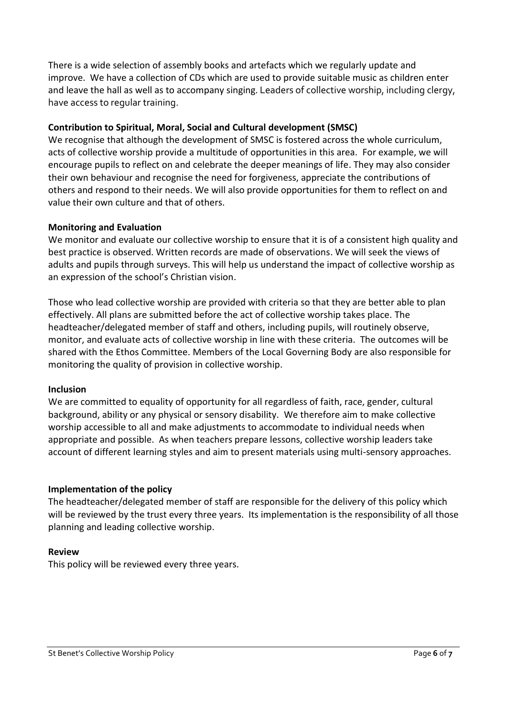There is a wide selection of assembly books and artefacts which we regularly update and improve. We have a collection of CDs which are used to provide suitable music as children enter and leave the hall as well as to accompany singing. Leaders of collective worship, including clergy, have access to regular training.

# **Contribution to Spiritual, Moral, Social and Cultural development (SMSC)**

We recognise that although the development of SMSC is fostered across the whole curriculum, acts of collective worship provide a multitude of opportunities in this area. For example, we will encourage pupils to reflect on and celebrate the deeper meanings of life. They may also consider their own behaviour and recognise the need for forgiveness, appreciate the contributions of others and respond to their needs. We will also provide opportunities for them to reflect on and value their own culture and that of others.

# **Monitoring and Evaluation**

We monitor and evaluate our collective worship to ensure that it is of a consistent high quality and best practice is observed. Written records are made of observations. We will seek the views of adults and pupils through surveys. This will help us understand the impact of collective worship as an expression of the school's Christian vision.

Those who lead collective worship are provided with criteria so that they are better able to plan effectively. All plans are submitted before the act of collective worship takes place. The headteacher/delegated member of staff and others, including pupils, will routinely observe, monitor, and evaluate acts of collective worship in line with these criteria. The outcomes will be shared with the Ethos Committee. Members of the Local Governing Body are also responsible for monitoring the quality of provision in collective worship.

#### **Inclusion**

We are committed to equality of opportunity for all regardless of faith, race, gender, cultural background, ability or any physical or sensory disability. We therefore aim to make collective worship accessible to all and make adjustments to accommodate to individual needs when appropriate and possible. As when teachers prepare lessons, collective worship leaders take account of different learning styles and aim to present materials using multi-sensory approaches.

# **Implementation of the policy**

The headteacher/delegated member of staff are responsible for the delivery of this policy which will be reviewed by the trust every three years. Its implementation is the responsibility of all those planning and leading collective worship.

# **Review**

This policy will be reviewed every three years.